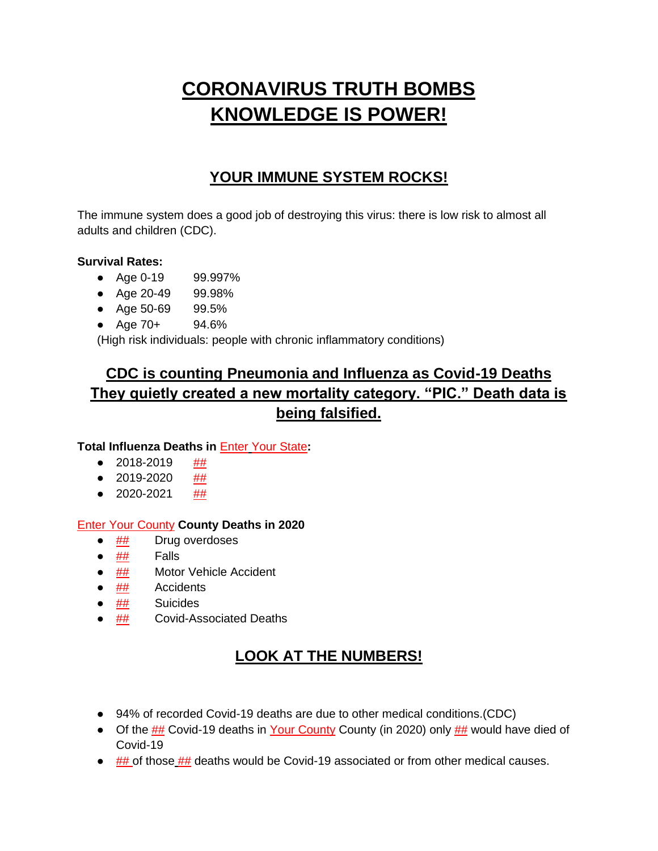# **CORONAVIRUS TRUTH BOMBS KNOWLEDGE IS POWER!**

### **YOUR IMMUNE SYSTEM ROCKS!**

The immune system does a good job of destroying this virus: there is low risk to almost all adults and children (CDC).

#### **Survival Rates:**

- Age 0-19 99.997%
- Age 20-49 99.98%
- Age 50-69 99.5%
- Age 70+ 94.6%

(High risk individuals: people with chronic inflammatory conditions)

# **CDC is counting Pneumonia and Influenza as Covid-19 Deaths They quietly created a new mortality category. "PIC." Death data is being falsified.**

#### **Total Influenza Deaths in** Enter Your State**:**

- $\bullet$  2018-2019 ##
- $\bullet$  2019-2020 ##
- $\bullet$  2020-2021 ##

#### Enter Your County **County Deaths in 2020**

- ## Drug overdoses
- $\bullet$  ## Falls
- ## Motor Vehicle Accident
- ## Accidents
- ## Suicides
- ## Covid-Associated Deaths

# **LOOK AT THE NUMBERS!**

- 94% of recorded Covid-19 deaths are due to other medical conditions.(CDC)
- Of the ## Covid-19 deaths in Your County County (in 2020) only ## would have died of Covid-19
- $\bullet$  ## of those  $\frac{4\text{#}}{2}$  deaths would be Covid-19 associated or from other medical causes.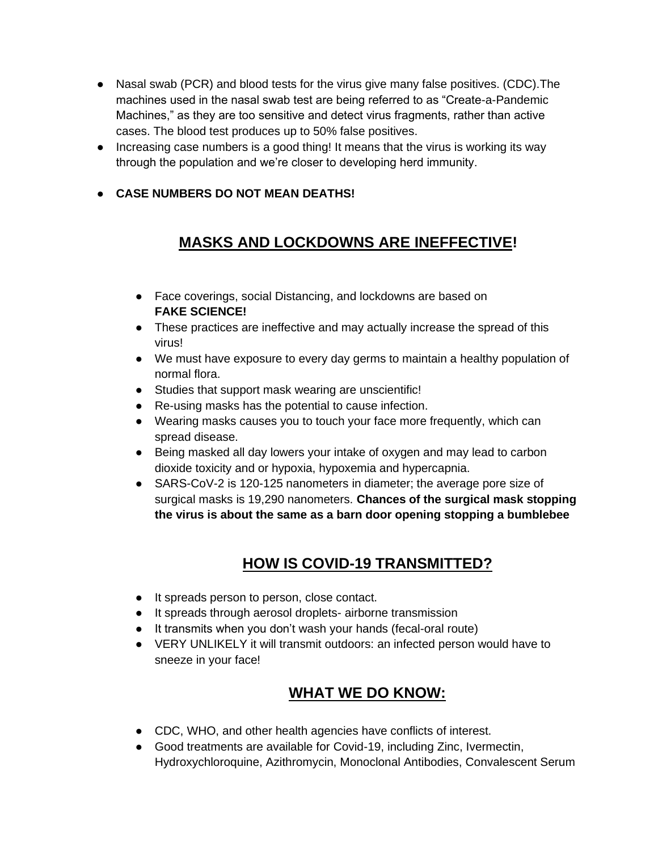- Nasal swab (PCR) and blood tests for the virus give many false positives. (CDC). The machines used in the nasal swab test are being referred to as "Create-a-Pandemic Machines," as they are too sensitive and detect virus fragments, rather than active cases. The blood test produces up to 50% false positives.
- Increasing case numbers is a good thing! It means that the virus is working its way through the population and we're closer to developing herd immunity.
- **CASE NUMBERS DO NOT MEAN DEATHS!**

# **MASKS AND LOCKDOWNS ARE INEFFECTIVE!**

- Face coverings, social Distancing, and lockdowns are based on **FAKE SCIENCE!**
- These practices are ineffective and may actually increase the spread of this virus!
- We must have exposure to every day germs to maintain a healthy population of normal flora.
- Studies that support mask wearing are unscientific!
- Re-using masks has the potential to cause infection.
- Wearing masks causes you to touch your face more frequently, which can spread disease.
- Being masked all day lowers your intake of oxygen and may lead to carbon dioxide toxicity and or hypoxia, hypoxemia and hypercapnia.
- SARS-CoV-2 is 120-125 nanometers in diameter; the average pore size of surgical masks is 19,290 nanometers. **Chances of the surgical mask stopping the virus is about the same as a barn door opening stopping a bumblebee**

### **HOW IS COVID-19 TRANSMITTED?**

- It spreads person to person, close contact.
- It spreads through aerosol droplets- airborne transmission
- It transmits when you don't wash your hands (fecal-oral route)
- VERY UNLIKELY it will transmit outdoors: an infected person would have to sneeze in your face!

### **WHAT WE DO KNOW:**

- CDC, WHO, and other health agencies have conflicts of interest.
- Good treatments are available for Covid-19, including Zinc, Ivermectin, Hydroxychloroquine, Azithromycin, Monoclonal Antibodies, Convalescent Serum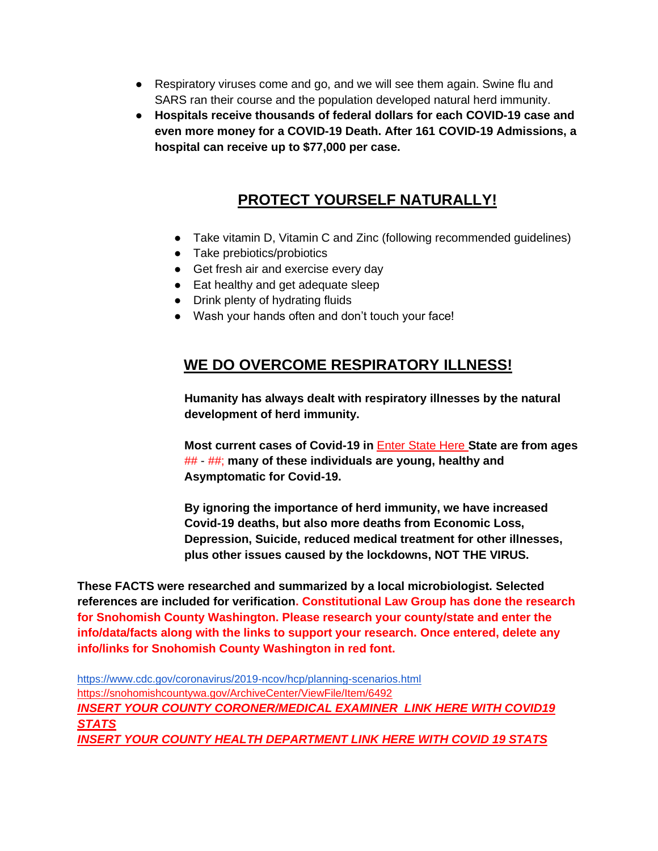- Respiratory viruses come and go, and we will see them again. Swine flu and SARS ran their course and the population developed natural herd immunity.
- **Hospitals receive thousands of federal dollars for each COVID-19 case and even more money for a COVID-19 Death. After 161 COVID-19 Admissions, a hospital can receive up to \$77,000 per case.**

## **PROTECT YOURSELF NATURALLY!**

- Take vitamin D, Vitamin C and Zinc (following recommended guidelines)
- Take prebiotics/probiotics
- Get fresh air and exercise every day
- Eat healthy and get adequate sleep
- Drink plenty of hydrating fluids
- Wash your hands often and don't touch your face!

### **WE DO OVERCOME RESPIRATORY ILLNESS!**

 **Humanity has always dealt with respiratory illnesses by the natural development of herd immunity.**

 **Most current cases of Covid-19 in** Enter State Here **State are from ages** ## - ##; **many of these individuals are young, healthy and Asymptomatic for Covid-19.**

 **By ignoring the importance of herd immunity, we have increased Covid-19 deaths, but also more deaths from Economic Loss, Depression, Suicide, reduced medical treatment for other illnesses, plus other issues caused by the lockdowns, NOT THE VIRUS.**

**These FACTS were researched and summarized by a local microbiologist. Selected references are included for verification. Constitutional Law Group has done the research for Snohomish County Washington. Please research your county/state and enter the info/data/facts along with the links to support your research. Once entered, delete any info/links for Snohomish County Washington in red font.**

<https://www.cdc.gov/coronavirus/2019-ncov/hcp/planning-scenarios.html> <https://snohomishcountywa.gov/ArchiveCenter/ViewFile/Item/6492> *INSERT YOUR COUNTY CORONER/MEDICAL EXAMINER LINK HERE WITH COVID19 STATS INSERT YOUR COUNTY HEALTH DEPARTMENT LINK HERE WITH COVID 19 STATS*